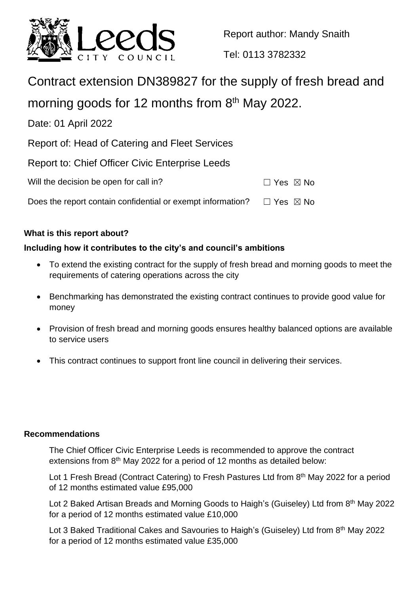

Report author: Mandy Snaith

Tel: 0113 3782332

# Contract extension DN389827 for the supply of fresh bread and

morning goods for 12 months from  $8<sup>th</sup>$  May 2022.

Date: 01 April 2022

Report of: Head of Catering and Fleet Services

|  |  | Report to: Chief Officer Civic Enterprise Leeds |  |  |
|--|--|-------------------------------------------------|--|--|
|--|--|-------------------------------------------------|--|--|

| Will the decision be open for call in?                      | $\Box$ Yes $\boxtimes$ No |  |
|-------------------------------------------------------------|---------------------------|--|
| Does the report contain confidential or exempt information? | □ Yes ⊠ No                |  |

# **What is this report about?**

# **Including how it contributes to the city's and council's ambitions**

- To extend the existing contract for the supply of fresh bread and morning goods to meet the requirements of catering operations across the city
- Benchmarking has demonstrated the existing contract continues to provide good value for money
- Provision of fresh bread and morning goods ensures healthy balanced options are available to service users
- This contract continues to support front line council in delivering their services.

## **Recommendations**

The Chief Officer Civic Enterprise Leeds is recommended to approve the contract extensions from 8<sup>th</sup> May 2022 for a period of 12 months as detailed below:

Lot 1 Fresh Bread (Contract Catering) to Fresh Pastures Ltd from 8<sup>th</sup> May 2022 for a period of 12 months estimated value £95,000

Lot 2 Baked Artisan Breads and Morning Goods to Haigh's (Guiseley) Ltd from 8<sup>th</sup> May 2022 for a period of 12 months estimated value £10,000

Lot 3 Baked Traditional Cakes and Savouries to Haigh's (Guiseley) Ltd from 8<sup>th</sup> May 2022 for a period of 12 months estimated value £35,000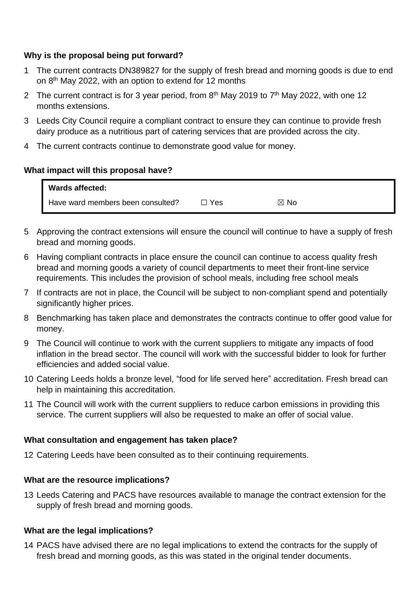## **Why is the proposal being put forward?**

- 1 The current contracts DN389827 for the supply of fresh bread and morning goods is due to end on 8<sup>th</sup> May 2022, with an option to extend for 12 months
- 2 The current contract is for 3 year period, from  $8<sup>th</sup>$  May 2019 to  $7<sup>th</sup>$  May 2022, with one 12 months extensions.
- 3 Leeds City Council require a compliant contract to ensure they can continue to provide fresh dairy produce as a nutritious part of catering services that are provided across the city.
- 4 The current contracts continue to demonstrate good value for money.

## **What impact will this proposal have?**

| <b>Wards affected:</b>            |     |           |  |
|-----------------------------------|-----|-----------|--|
| Have ward members been consulted? | Yes | ` No<br>⊠ |  |

- 5 Approving the contract extensions will ensure the council will continue to have a supply of fresh bread and morning goods.
- 6 Having compliant contracts in place ensure the council can continue to access quality fresh bread and morning goods a variety of council departments to meet their front-line service requirements. This includes the provision of school meals, including free school meals
- 7 If contracts are not in place, the Council will be subject to non-compliant spend and potentially significantly higher prices.
- 8 Benchmarking has taken place and demonstrates the contracts continue to offer good value for money.
- 9 The Council will continue to work with the current suppliers to mitigate any impacts of food inflation in the bread sector. The council will work with the successful bidder to look for further efficiencies and added social value.
- 10 Catering Leeds holds a bronze level, "food for life served here" accreditation. Fresh bread can help in maintaining this accreditation.
- 11 The Council will work with the current suppliers to reduce carbon emissions in providing this service. The current suppliers will also be requested to make an offer of social value.

### **What consultation and engagement has taken place?**

12 Catering Leeds have been consulted as to their continuing requirements.

### **What are the resource implications?**

13 Leeds Catering and PACS have resources available to manage the contract extension for the supply of fresh bread and morning goods.

### **What are the legal implications?**

14 PACS have advised there are no legal implications to extend the contracts for the supply of fresh bread and morning goods, as this was stated in the original tender documents.